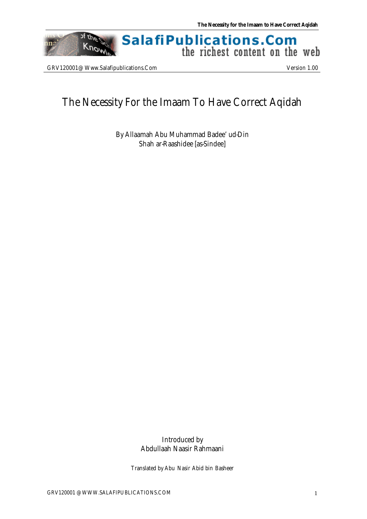

GRV120001@ Www.Salafipublications.Com Version 1.00

# The Necessity For the Imaam To Have Correct Aqidah

By Allaamah Abu Muhammad Badee' ud-Din Shah ar-Raashidee [as-Sindee]

> Introduced by Abdullaah Naasir Rahmaani

Translated by Abu Nasir Abid bin Basheer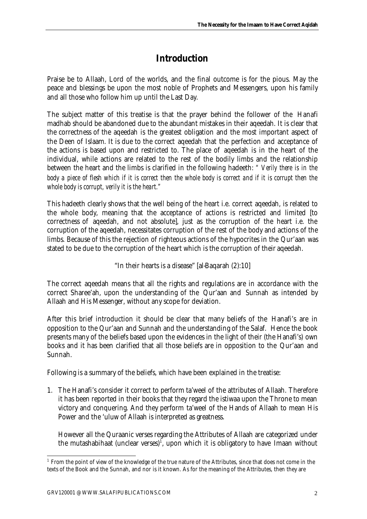## **Introduction**

Praise be to Allaah, Lord of the worlds, and the final outcome is for the pious. May the peace and blessings be upon the most noble of Prophets and Messengers, upon his family and all those who follow him up until the Last Day.

The subject matter of this treatise is that the prayer behind the follower of the Hanafi madhab should be abandoned due to the abundant mistakes in their aqeedah. It is clear that the correctness of the aqeedah is the greatest obligation and the most important aspect of the Deen of Islaam. It is due to the correct aqeedah that the perfection and acceptance of the actions is based upon and restricted to. The place of aqeedah is in the heart of the individual, while actions are related to the rest of the bodily limbs and the relationship between the heart and the limbs is clarified in the following hadeeth: *" Verily there is in the body a piece of flesh which if it is correct then the whole body is correct and if it is corrupt then the whole body is corrupt, verily it is the heart."*

This hadeeth clearly shows that the well being of the heart i.e. correct aqeedah, is related to the whole body, meaning that the acceptance of actions is restricted and limited [to correctness of aqeedah, and not absolute], just as the corruption of the heart i.e. the corruption of the aqeedah, necessitates corruption of the rest of the body and actions of the limbs. Because of this the rejection of righteous actions of the hypocrites in the Qur'aan was stated to be due to the corruption of the heart which is the corruption of their aqeedah.

"In their hearts is a disease" [al-Baqarah (2):10]

The correct aqeedah means that all the rights and regulations are in accordance with the correct Sharee'ah, upon the understanding of the Qur'aan and Sunnah as intended by Allaah and His Messenger, without any scope for deviation.

After this brief introduction it should be clear that many beliefs of the Hanafi's are in opposition to the Qur'aan and Sunnah and the understanding of the Salaf. Hence the book presents many of the beliefs based upon the evidences in the light of their (the Hanafi's) own books and it has been clarified that all those beliefs are in opposition to the Qur'aan and Sunnah.

Following is a summary of the beliefs, which have been explained in the treatise:

1. The Hanafi's consider it correct to perform ta'weel of the attributes of Allaah. Therefore it has been reported in their books that they regard the istiwaa upon the Throne to mean victory and conquering. And they perform ta'weel of the Hands of Allaah to mean His Power and the 'uluw of Allaah is interpreted as greatness.

However all the Quraanic verses regarding the Attributes of Allaah are categorized under the mutashabihaat (unclear verses) $^1$ , upon which it is obligatory to have Imaan without

l  $1$  From the point of view of the knowledge of the true nature of the Attributes, since that does not come in the texts of the Book and the Sunnah, and nor is it known. As for the meaning of the Attributes, then they are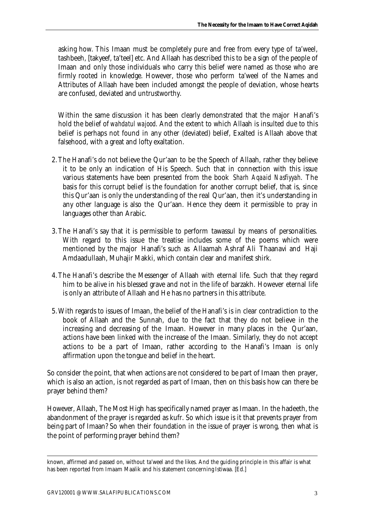asking how. This Imaan must be completely pure and free from every type of ta'weel, tashbeeh, [takyeef, ta'teel] etc. And Allaah has described this to be a sign of the people of Imaan and only those individuals who carry this belief were named as those who are firmly rooted in knowledge. However, those who perform ta'weel of the Names and Attributes of Allaah have been included amongst the people of deviation, whose hearts are confused, deviated and untrustworthy.

Within the same discussion it has been clearly demonstrated that the major Hanafi's hold the belief of *wahdatul wajood*. And the extent to which Allaah is insulted due to this belief is perhaps not found in any other (deviated) belief, Exalted is Allaah above that falsehood, with a great and lofty exaltation.

- 2.The Hanafi's do not believe the Qur'aan to be the Speech of Allaah, rather they believe it to be only an indication of His Speech. Such that in connection with this issue various statements have been presented from the book *Sharh Aqaaid Nasfiyyah*. The basis for this corrupt belief is the foundation for another corrupt belief, that is, since this Qur'aan is only the understanding of the real Qur'aan, then it's understanding in any other language is also the Qur'aan. Hence they deem it permissible to pray in languages other than Arabic.
- 3.The Hanafi's say that it is permissible to perform tawassul by means of personalities. With regard to this issue the treatise includes some of the poems which were mentioned by the major Hanafi's such as Allaamah Ashraf Ali Thaanavi and Haji Amdaadullaah, Muhajir Makki, which contain clear and manifest shirk.
- 4.The Hanafi's describe the Messenger of Allaah with eternal life. Such that they regard him to be alive in his blessed grave and not in the life of barzakh. However eternal life is only an attribute of Allaah and He has no partners in this attribute.
- 5.With regards to issues of Imaan, the belief of the Hanafi's is in clear contradiction to the book of Allaah and the Sunnah, due to the fact that they do not believe in the increasing and decreasing of the Imaan. However in many places in the Qur'aan, actions have been linked with the increase of the Imaan. Similarly, they do not accept actions to be a part of Imaan, rather according to the Hanafi's Imaan is only affirmation upon the tongue and belief in the heart.

So consider the point, that when actions are not considered to be part of Imaan then prayer, which is also an action, is not regarded as part of Imaan, then on this basis how can there be prayer behind them?

However, Allaah, The Most High has specifically named prayer as Imaan. In the hadeeth, the abandonment of the prayer is regarded as kufr. So which issue is it that prevents prayer from being part of Imaan? So when their foundation in the issue of prayer is wrong, then what is the point of performing prayer behind them?

known, affirmed and passed on, without ta'weel and the likes. And the guiding principle in this affair is what has been reported from Imaam Maalik and his statement concerning Istiwaa. [Ed.]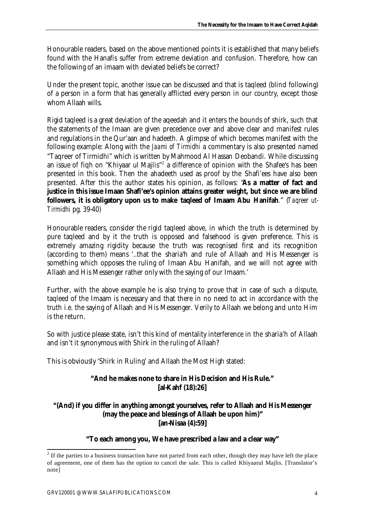Honourable readers, based on the above mentioned points it is established that many beliefs found with the Hanafis suffer from extreme deviation and confusion. Therefore, how can the following of an imaam with deviated beliefs be correct?

Under the present topic, another issue can be discussed and that is taqleed (blind following) of a person in a form that has generally afflicted every person in our country, except those whom Allaah wills.

Rigid taqleed is a great deviation of the aqeedah and it enters the bounds of shirk, such that the statements of the Imaan are given precedence over and above clear and manifest rules and regulations in the Qur'aan and hadeeth. A glimpse of which becomes manifest with the following example: Along with the *Jaami of Tirmidhi* a commentary is also presented named "Taqreer of Tirmidhi" which is written by Mahmood Al Hassan Deobandi. While discussing an issue of fiqh on "Khiyaar ul Majlis"<sup>2</sup> a difference of opinion with the Shafee's has been presented in this book. Then the ahadeeth used as proof by the Shafi'ees have also been presented. After this the author states his opinion, as follows: "**As a matter of fact and justice in this issue Imaan Shafi'ee's opinion attains greater weight, but since we are blind followers, it is obligatory upon us to make taqleed of Imaam Abu Hanifah**." (*Taqreer ut-Tirmidhi* pg. 39-40)

Honourable readers, consider the rigid taqleed above, in which the truth is determined by pure taqleed and by it the truth is opposed and falsehood is given preference. This is extremely amazing rigidity because the truth was recognised first and its recognition (according to them) means '..that the sharia'h and rule of Allaah and His Messenger is something which opposes the ruling of Imaan Abu Hanifah, and we will not agree with Allaah and His Messenger rather only with the saying of our Imaam.'

Further, with the above example he is also trying to prove that in case of such a dispute, taqleed of the Imaam is necessary and that there in no need to act in accordance with the truth i.e. the saying of Allaah and His Messenger. Verily to Allaah we belong and unto Him is the return.

So with justice please state, isn't this kind of mentality interference in the sharia'h of Allaah and isn't it synonymous with Shirk in the ruling of Allaah?

This is obviously 'Shirk in Ruling' and Allaah the Most High stated:

#### **"And he makes none to share in His Decision and His Rule." [al-Kahf (18):26]**

### **"(And) if you differ in anything amongst yourselves, refer to Allaah and His Messenger (may the peace and blessings of Allaah be upon him)" [an-Nisaa (4):59]**

#### **"To each among you, We have prescribed a law and a clear way"**

 $2<sup>2</sup>$  If the parties to a business transaction have not parted from each other, though they may have left the place of agreement, one of them has the option to cancel the sale. This is called Khiyaarul Majlis. [Translator's note]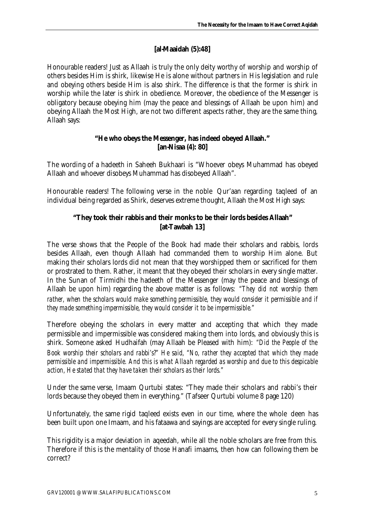## **[al-Maaidah (5):48]**

Honourable readers! Just as Allaah is truly the only deity worthy of worship and worship of others besides Him is shirk, likewise He is alone without partners in His legislation and rule and obeying others beside Him is also shirk. The difference is that the former is shirk in worship while the later is shirk in obedience. Moreover, the obedience of the Messenger is obligatory because obeying him (may the peace and blessings of Allaah be upon him) and obeying Allaah the Most High, are not two different aspects rather, they are the same thing, Allaah says:

### **"He who obeys the Messenger, has indeed obeyed Allaah." [an-Nisaa (4): 80]**

The wording of a hadeeth in Saheeh Bukhaari is "Whoever obeys Muhammad has obeyed Allaah and whoever disobeys Muhammad has disobeyed Allaah".

Honourable readers! The following verse in the noble Qur'aan regarding taqleed of an individual being regarded as Shirk, deserves extreme thought, Allaah the Most High says:

## **"They took their rabbis and their monks to be their lords besides Allaah" [at-Tawbah 13]**

The verse shows that the People of the Book had made their scholars and rabbis, lords besides Allaah, even though Allaah had commanded them to worship Him alone. But making their scholars lords did not mean that they worshipped them or sacrificed for them or prostrated to them. Rather, it meant that they obeyed their scholars in every single matter. In the Sunan of Tirmidhi the hadeeth of the Messenger (may the peace and blessings of Allaah be upon him) regarding the above matter is as follows: *"They did not worship them rather, when the scholars would make something permissible, they would consider it permissible and if they made something impermissible, they would consider it to be impermissible."*

Therefore obeying the scholars in every matter and accepting that which they made permissible and impermissible was considered making them into lords, and obviously this is shirk. Someone asked Hudhaifah (may Allaah be Pleased with him): *"Did the People of the Book worship their scholars and rabbi's?" He said, "No, rather they accepted that which they made permissible and impermissible. And this is what Allaah regarded as worship and due to this despicable action, He stated that they have taken their scholars as their lords."*

Under the same verse, Imaam Qurtubi states: "They made their scholars and rabbi's their lords because they obeyed them in everything." (Tafseer Qurtubi volume 8 page 120)

Unfortunately, the same rigid taqleed exists even in our time, where the whole deen has been built upon one Imaam, and his fataawa and sayings are accepted for every single ruling.

This rigidity is a major deviation in aqeedah, while all the noble scholars are free from this. Therefore if this is the mentality of those Hanafi imaams, then how can following them be correct?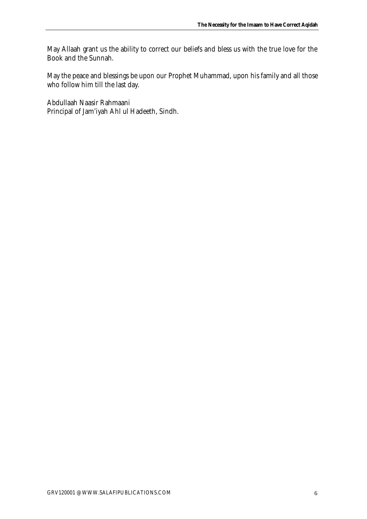May Allaah grant us the ability to correct our beliefs and bless us with the true love for the Book and the Sunnah.

May the peace and blessings be upon our Prophet Muhammad, upon his family and all those who follow him till the last day.

Abdullaah Naasir Rahmaani Principal of Jam'iyah Ahl ul Hadeeth, Sindh.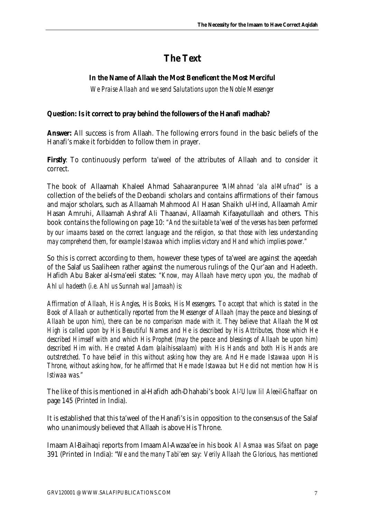# **The Text**

## **In the Name of Allaah the Most Beneficent the Most Merciful**

*We Praise Allaah and we send Salutations upon the Noble Messenger*

### **Question: Is it correct to pray behind the followers of the Hanafi madhab?**

**Answer:** All success is from Allaah. The following errors found in the basic beliefs of the Hanafi's make it forbidden to follow them in prayer.

**Firstly**: To continuously perform ta'weel of the attributes of Allaah and to consider it correct.

The book of Allaamah Khaleel Ahmad Sahaaranpuree "*Al-Mahnad 'ala al-Mufnad*" is a collection of the beliefs of the Deobandi scholars and contains affirmations of their famous and major scholars, such as Allaamah Mahmood Al Hasan Shaikh ul-Hind, Allaamah Amir Hasan Amruhi, Allaamah Ashraf Ali Thaanavi, Allaamah Kifaayatullaah and others. This book contains the following on page 10: *"And the suitable ta'weel of the verses has been performed by our imaams based on the correct language and the religion, so that those with less understanding may comprehend them, for example Istawaa which implies victory and Hand which implies power."*

So this is correct according to them, however these types of ta'weel are against the aqeedah of the Salaf us Saaliheen rather against the numerous rulings of the Qur'aan and Hadeeth. Hafidh Abu Baker al-Isma'eeli states: *"Know, may Allaah have mercy upon you, the madhab of Ahl ul hadeeth (i.e. Ahl us Sunnah wal Jamaah) is:*

*Affirmation of Allaah, His Angles, His Books, His Messengers. To accept that which is stated in the Book of Allaah or authentically reported from the Messenger of Allaah (may the peace and blessings of Allaah be upon him), there can be no comparison made with it. They believe that Allaah the Most High is called upon by His Beautiful Names and He is described by His Attributes, those which He described Himself with and which His Prophet (may the peace and blessings of Allaah be upon him) described Him with. He created Adam (alaihis-salaam) with His Hands and both His Hands are outstretched. To have belief in this without asking how they are. And He made Istawaa upon His Throne, without asking how, for he affirmed that He made Istawaa but He did not mention how His Istiwaa was."*

The like of this is mentioned in al-Hafidh adh-Dhahabi's book *Al-'Uluw lil Alee-il-Ghaffaar* on page 145 (Printed in India).

It is established that this ta'weel of the Hanafi's is in opposition to the consensus of the Salaf who unanimously believed that Allaah is above His Throne.

Imaam Al-Baihaqi reports from Imaam Al-Awzaa'ee in his book *Al Asmaa was Sifaat* on page 391 (Printed in India): "*We and the many Tabi'een say: Verily Allaah the Glorious, has mentioned*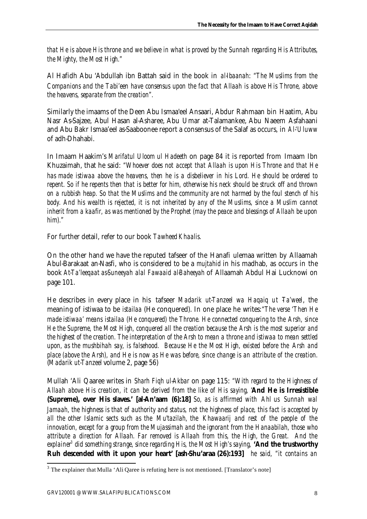*that He is above His throne and we believe in what is proved by the Sunnah regarding His Attributes, the Mighty, the Most High."*

Al Hafidh Abu 'Abdullah ibn Battah said in the book in *al-Ibaanah*: *"The Muslims from the Companions and the Tabi'een have consensus upon the fact that Allaah is above His Throne, above the heavens, separate from the creation".*

Similarly the imaams of the Deen Abu Ismaa'eel Ansaari, Abdur Rahmaan bin Haatim, Abu Nasr As-Sajzee, Abul Hasan al-Asharee, Abu Umar at-Talamankee, Abu Naeem Asfahaani and Abu Bakr Ismaa'eel as-Saaboonee report a consensus of the Salaf as occurs, in *Al-'Uluww* of adh-Dhahabi.

In Imaam Haakim's *Marifatul Uloom ul Hadeeth* on page 84 it is reported from Imaam Ibn Khuzaimah, that he said: *"Whoever does not accept that Allaah is upon His Throne and that He has made istiwaa above the heavens, then he is a disbeliever in his Lord. He should be ordered to repent. So if he repents then that is better for him, otherwise his neck should be struck off and thrown on a rubbish heap. So that the Muslims and the community are not harmed by the foul stench of his body. And his wealth is rejected, it is not inherited by any of the Muslims, since a Muslim cannot inherit from a kaafir, as was mentioned by the Prophet (may the peace and blessings of Allaah be upon him)."*

For further detail, refer to our book *Tawheed Khaalis.*

On the other hand we have the reputed tafseer of the Hanafi ulemaa written by Allaamah Abul-Barakaat an-Nasfi, who is considered to be a *mujtahid* in his madhab, as occurs in the book *At-Ta'leeqaat as-Suneeyah alal Fawaaid al-Baheeyah* of Allaamah Abdul Hai Lucknowi on page 101.

He describes in every place in his tafseer *Madarik ut-Tanzeel wa Haqaiq ut -Ta'weel*, the meaning of istiwaa to be *istailaa* (He conquered). In one place he writes:*"The verse 'Then He made istiwaa' means istailaa (He conquered) the Throne. He connected conquering to the Arsh, since He the Supreme, the Most High, conquered all the creation because the Arsh is the most superior and the highest of the creation. The interpretation of the Arsh to mean a throne and istiwaa to mean settled upon, as the mushbihah say, is falsehood. Because He the Most High, existed before the Arsh and place (above the Arsh), and He is now as He was before, since change is an attribute of the creation.* (*Madarik ut-Tanzeel* volume 2, page 56)

Mullah 'Ali Qaaree writes in *Sharh Fiqh ul-Akbar* on page 115: *"With regard to the Highness of Allaah above His creation, it can be derived from the like of His saying, 'And He is Irresistible (Supreme), over His slaves.' [al-An'aam (6):18] So, as is affirmed with Ahl us Sunnah wal Jamaah, the highness is that of authority and status, not the highness of place, this fact is accepted by all the other Islamic sects such as the Mu'tazilah, the Khawaarij and rest of the people of the innovation, except for a group from the Mujassimah and the ignorant from the Hanaabilah, those who attribute a direction for Allaah. Far removed is Allaah from this, the High, the Great. And the explainer<sup>3</sup> did something strange, since regarding His, the Most High's saying, 'And the trustworthy Ruh descended with it upon your heart' [ash-Shu'araa (26):193] he said, "it contains an*

 $3$  The explainer that Mulla 'Ali Qaree is refuting here is not mentioned. [Translator's note]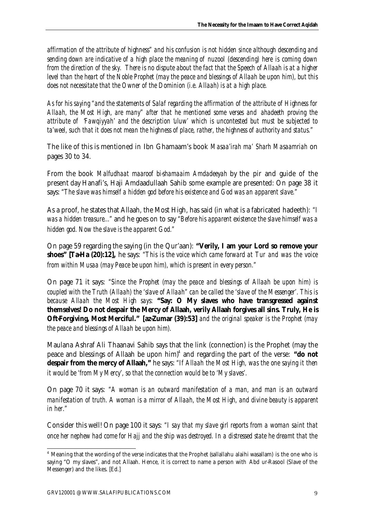*affirmation of the attribute of highness" and his confusion is not hidden since although descending and sending down are indicative of a high place the meaning of nuzool (descending) here is coming down from the direction of the sky. There is no dispute about the fact that the Speech of Allaah is at a higher level than the heart of the Noble Prophet (may the peace and blessings of Allaah be upon him), but this does not necessitate that the Owner of the Dominion (i.e. Allaah) is at a high place.*

*As for his saying "and the statements of Salaf regarding the affirmation of the attribute of Highness for Allaah, the Most High, are many" after that he mentioned some verses and ahadeeth proving the attribute of 'Fawqiyyah' and the description 'uluw' which is uncontested but must be subjected to ta'weel, such that it does not mean the highness of place, rather, the highness of authority and status."*

The like of this is mentioned in Ibn Ghamaam's book *Masaa'irah ma' Sharh Masaamriah* on pages 30 to 34.

From the book *Malfudhaat maaroof bi-shamaaim Amdadeeyah* by the pir and guide of the present day Hanafi's, Haji Amdaadullaah Sahib some example are presented: On page 38 it says: *"The slave was himself a hidden god before his existence and God was an apparent slave."*

As a proof, he states that Allaah, the Most High, has said (in what is a fabricated hadeeth): *"I was a hidden treasure…"* and he goes on to say *"Before his apparent existence the slave himself was a hidden god. Now the slave is the apparent God."*

On page 59 regarding the saying (in the Qur'aan): **"Verily, I am your Lord so remove your shoes" [Ta-Ha (20):12],** he says: *"This is the voice which came forward at Tur and was the voice from within Musaa (may Peace be upon him), which is present in every person."*

On page 71 it says: *"Since the Prophet (may the peace and blessings of Allaah be upon him) is coupled with the Truth (Allaah) the 'slave of Allaah" can be called the 'slave of the Messenger'. This is because Allaah the Most High says: "Say: O My slaves who have transgressed against themselves! Do not despair the Mercy of Allaah, verily Allaah forgives all sins. Truly, He is Oft-Forgiving, Most Merciful." [az-Zumar (39):53] and the original speaker is the Prophet (may the peace and blessings of Allaah be upon him).*

Maulana Ashraf Ali Thaanavi Sahib says that the link (connection) is the Prophet (may the peace and blessings of Allaah be upon him)<sup>4</sup> and regarding the part of the verse: "do not **despair from the mercy of Allaah,"** he says: *"If Allaah the Most High, was the one saying it then it would be 'from My Mercy', so that the connection would be to 'My slaves'.*

On page 70 it says: *"A woman is an outward manifestation of a man, and man is an outward manifestation of truth. A woman is a mirror of Allaah, the Most High, and divine beauty is apparent in her."*

Consider this well! On page 100 it says*: "I say that my slave girl reports from a woman saint that once her nephew had come for Hajj and the ship was destroyed. In a distressed state he dreamt that the*

<sup>&</sup>lt;sup>4</sup> Meaning that the wording of the verse indicates that the Prophet (sallallahu alaihi wasallam) is the one who is saying "O my slaves", and not Allaah. Hence, it is correct to name a person with Abd ur-Rasool (Slave of the Messenger) and the likes. [Ed.]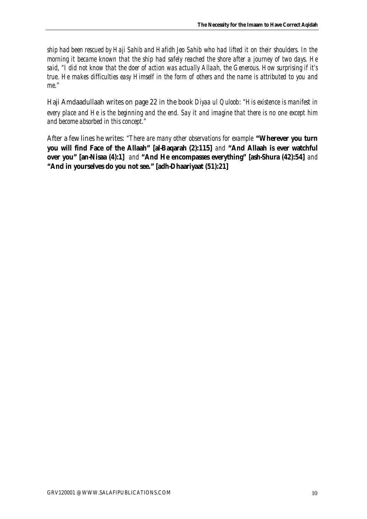*ship had been rescued by Haji Sahib and Hafidh Jeo Sahib who had lifted it on their shoulders. In the morning it became known that the ship had safely reached the shore after a journey of two days. He said, "I did not know that the doer of action was actually Allaah, the Generous. How surprising if it's true. He makes difficulties easy Himself in the form of others and the name is attributed to you and me."*

Haji Amdaadullaah writes on page 22 in the book *Diyaa ul Quloob*: *"His existence is manifest in every place and He is the beginning and the end. Say it and imagine that there is no one except him and become absorbed in this concept."*

After a few lines he writes: *"There are many other observations for example "Wherever you turn you will find Face of the Allaah" [al-Baqarah (2):115] and "And Allaah is ever watchful over you" [an-Nisaa (4):1] and "And He encompasses everything" [ash-Shura (42):54] and "And in yourselves do you not see." [adh-Dhaariyaat (51):21]*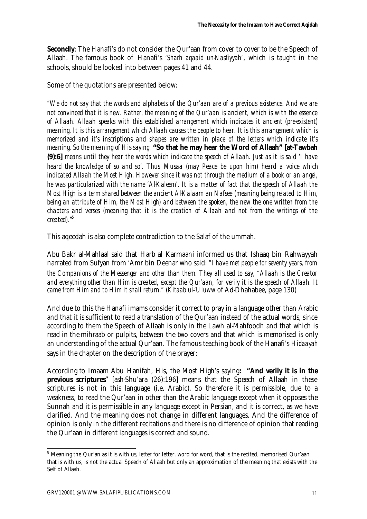**Secondly**: The Hanafi's do not consider the Qur'aan from cover to cover to be the Speech of Allaah. The famous book of Hanafi's *'Sharh aqaaid un-Nasfiyyah'*, which is taught in the schools, should be looked into between pages 41 and 44.

Some of the quotations are presented below:

*"We do not say that the words and alphabets of the Qur'aan are of a previous existence. And we are not convinced that it is new. Rather, the meaning of the Qur'aan is ancient, which is with the essence of Allaah. Allaah speaks with this established arrangement which indicates it ancient (pre-existent) meaning. It is this arrangement which Allaah causes the people to hear. It is this arrangement which is memorized and it's inscriptions and shapes are written in place of the letters which indicate it's meaning. So the meaning of His saying: "So that he may hear the Word of Allaah" [at-Tawbah (9):6] means until they hear the words which indicate the speech of Allaah. Just as it is said 'I have heard the knowledge of so and so'. Thus Musaa (may Peace be upon him) heard a voice which indicated Allaah the Most High. However since it was not through the medium of a book or an angel, he was particularized with the name 'Al-Kaleem'. It is a matter of fact that the speech of Allaah the Most High is a term shared between the ancient Al-Kalaam an Nafsee (meaning being related to Him, being an attribute of Him, the Most High) and between the spoken, the new the one written from the chapters and verses (meaning that it is the creation of Allaah and not from the writings of the created)."<sup>5</sup>*

This aqeedah is also complete contradiction to the Salaf of the ummah.

Abu Bakr al-Mahlaal said that Harb al Karmaani informed us that Ishaaq bin Rahwayyah narrated from Sufyan from 'Amr bin Deenar who said: *"I have met people for seventy years, from the Companions of the Messenger and other than them. They all used to say, "Allaah is the Creator and everything other than Him is created, except the Qur'aan, for verily it is the speech of Allaah. It came from Him and to Him it shall return."* (*Kitaab ul-'Uluww* of Ad-Dhahabee, page 130)

And due to this the Hanafi imams consider it correct to pray in a language other than Arabic and that it is sufficient to read a translation of the Qur'aan instead of the actual words, since according to them the Speech of Allaah is only in the Lawh al-Mahfoodh and that which is read in the mihraab or pulpits, between the two covers and that which is memorised is only an understanding of the actual Qur'aan. The famous teaching book of the Hanafi's *Hidaa*y*ah* says in the chapter on the description of the prayer:

According to Imaam Abu Hanifah, His, the Most High's saying**: "And verily it is in the previous scriptures**" [ash-Shu'ara (26):196] means that the Speech of Allaah in these scriptures is not in this language (i.e. Arabic). So therefore it is permissible, due to a weakness, to read the Qur'aan in other than the Arabic language except when it opposes the Sunnah and it is permissible in any language except in Persian, and it is correct, as we have clarified. And the meaning does not change in different languages. And the difference of opinion is only in the different recitations and there is no difference of opinion that reading the Qur'aan in different languages is correct and sound.

l  $^5$  Meaning the Qur'an as it is with us, letter for letter, word for word, that is the recited, memorised Qur'aan that is with us, is not the actual Speech of Allaah but only an approximation of the meaning that exists with the Self of Allaah.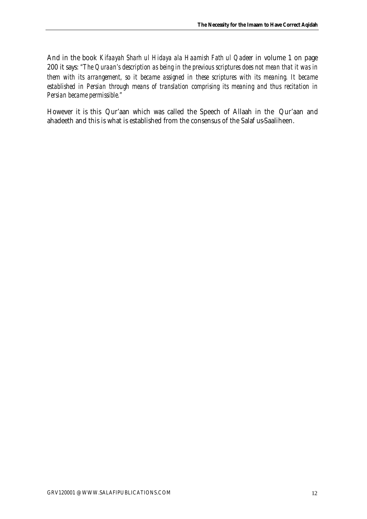And in the book *Kifaayah Sharh ul Hidaya ala Haamish Fath ul Qadeer* in volume 1 on page 200 it says: *"The Quraan's description as being in the previous scriptures does not mean that it was in them with its arrangement, so it became assigned in these scriptures with its meaning. It became established in Persian through means of translation comprising its meaning and thus recitation in Persian became permissible."*

However it is this Qur'aan which was called the Speech of Allaah in the Qur'aan and ahadeeth and this is what is established from the consensus of the Salaf us-Saaliheen.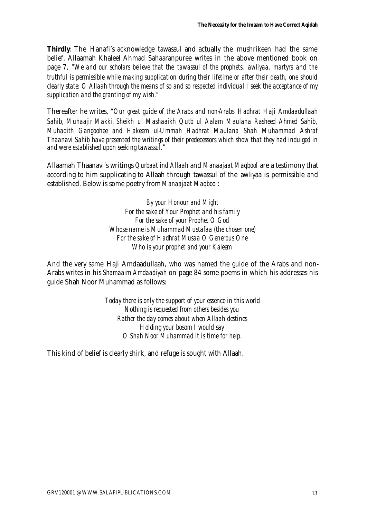**Thirdly**: The Hanafi's acknowledge tawassul and actually the mushrikeen had the same belief. Allaamah Khaleel Ahmad Sahaaranpuree writes in the above mentioned book on page 7, *"We and our scholars believe that the tawassul of the prophets, awliyaa, martyrs and the truthful is permissible while making supplication during their lifetime or after their death, one should clearly state: O Allaah through the means of so and so respected individual I seek the acceptance of my supplication and the granting of my wish."*

Thereafter he writes, *"Our great guide of the Arabs and non-Arabs Hadhrat Haji Amdaadullaah Sahib, Muhaajir Makki, Sheikh ul Mashaaikh Qutb ul Aalam Maulana Rasheed Ahmed Sahib, Muhadith Gangoohee and Hakeem ul-Ummah Hadhrat Maulana Shah Muhammad Ashraf Thaanavi Sahib have presented the writings of their predecessors which show that they had indulged in and were established upon seeking tawassul*."

Allaamah Thaanavi's writings *Qurbaat ind Allaah* and *Manaajaat Maqbool* are a testimony that according to him supplicating to Allaah through tawassul of the awliyaa is permissible and established. Below is some poetry from *Manaajaat Maqbool*:

> *By your Honour and Might For the sake of Your Prophet and his family For the sake of your Prophet O God Whose name is Muhammad Mustafaa (the chosen one) For the sake of Hadhrat Musaa O Generous One Who is your prophet and your Kaleem*

And the very same Haji Amdaadullaah, who was named the guide of the Arabs and non-Arabs writes in his *Shamaaim Amdaadiyah* on page 84 some poems in which his addresses his guide Shah Noor Muhammad as follows:

> *Today there is only the support of your essence in this world Nothing is requested from others besides you Rather the day comes about when Allaah destines Holding your bosom I would say O Shah Noor Muhammad it is time for help.*

This kind of belief is clearly shirk, and refuge is sought with Allaah.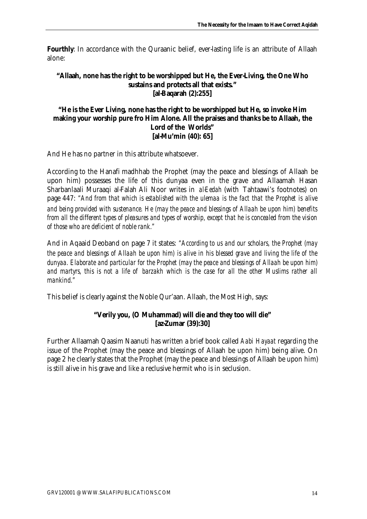**Fourthly**: In accordance with the Quraanic belief, ever-lasting life is an attribute of Allaah alone:

### **"Allaah, none has the right to be worshipped but He, the Ever-Living, the One Who sustains and protects all that exists." [al-Baqarah (2):255]**

### **"He is the Ever Living, none has the right to be worshipped but He, so invoke Him making your worship pure fro Him Alone. All the praises and thanks be to Allaah, the Lord of the Worlds" [al-Mu'min (40): 65]**

And He has no partner in this attribute whatsoever.

According to the Hanafi madhhab the Prophet (may the peace and blessings of Allaah be upon him) possesses the life of this dunyaa even in the grave and Allaamah Hasan Sharbanlaali Muraaqi al-Falah Ali Noor writes in *al-Eedah* (with Tahtaawi's footnotes) on page 447: *"And from that which is established with the ulemaa is the fact that the Prophet is alive and being provided with sustenance. He (may the peace and blessings of Allaah be upon him) benefits from all the different types of pleasures and types of worship, except that he is concealed from the vision of those who are deficient of noble rank."*

And in Aqaaid Deoband on page 7 it states: *"According to us and our scholars, the Prophet (may the peace and blessings of Allaah be upon him) is alive in his blessed grave and living the life of the dunyaa. Elaborate and particular for the Prophet (may the peace and blessings of Allaah be upon him) and martyrs, this is not a life of barzakh which is the case for all the other Muslims rather all mankind."*

This belief is clearly against the Noble Qur'aan. Allaah, the Most High, says:

## **"Verily you, (O Muhammad) will die and they too will die" [az-Zumar (39):30]**

Further Allaamah Qaasim Naanuti has written a brief book called *Aabi Hayaat* regarding the issue of the Prophet (may the peace and blessings of Allaah be upon him) being alive. On page 2 he clearly states that the Prophet (may the peace and blessings of Allaah be upon him) is still alive in his grave and like a reclusive hermit who is in seclusion.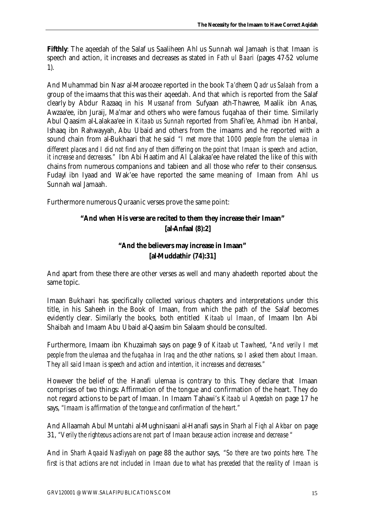**Fifthly**: The aqeedah of the Salaf us Saaliheen Ahl us Sunnah wal Jamaah is that Imaan is speech and action, it increases and decreases as stated in *Fath ul Baari* (pages 47-52 volume 1).

And Muhammad bin Nasr al-Maroozee reported in the book *Ta'dheem Qadr us Salaah* from a group of the imaams that this was their aqeedah. And that which is reported from the Salaf clearly by Abdur Razaaq in his *Mussanaf* from Sufyaan ath-Thawree, Maalik ibn Anas, Awzaa'ee, ibn Juraij, Ma'mar and others who were famous fuqahaa of their time. Similarly Abul Qaasim al-Lalakaa'ee in *Kitaab us Sunnah* reported from Shafi'ee, Ahmad ibn Hanbal, Ishaaq ibn Rahwayyah, Abu Ubaid and others from the imaams and he reported with a sound chain from al-Bukhaari that he said *"I met more that 1000 people from the ulemaa in different places and I did not find any of them differing on the point that Imaan is speech and action, it increase and decreases."* Ibn Abi Haatim and Al Lalakaa'ee have related the like of this with chains from numerous companions and tabieen and all those who refer to their consensus. Fudayl ibn Iyaad and Wak'ee have reported the same meaning of Imaan from Ahl us Sunnah wal Jamaah.

Furthermore numerous Quraanic verses prove the same point:

## **"And when His verse are recited to them they increase their Imaan" [al-Anfaal (8):2]**

## **"And the believers may increase in Imaan" [al-Muddathir (74):31]**

And apart from these there are other verses as well and many ahadeeth reported about the same topic.

Imaan Bukhaari has specifically collected various chapters and interpretations under this title, in his Saheeh in the Book of Imaan, from which the path of the Salaf becomes evidently clear. Similarly the books, both entitled *Kitaab ul Imaan*, of Imaam Ibn Abi Shaibah and Imaam Abu Ubaid al-Qaasim bin Salaam should be consulted.

Furthermore, Imaam ibn Khuzaimah says on page 9 of *Kitaab ut Tawheed*, *"And verily I met people from the ulemaa and the fuqahaa in Iraq and the other nations, so I asked them about Imaan. They all said Imaan is speech and action and intention, it increases and decreases."*

However the belief of the Hanafi ulemaa is contrary to this. They declare that Imaan comprises of two things: Affirmation of the tongue and confirmation of the heart. They do not regard actions to be part of Imaan. In Imaam Tahawi's *Kitaab ul Aqeedah* on page 17 he says, *"Imaam is affirmation of the tongue and confirmation of the heart."*

And Allaamah Abul Muntahi al-Mughnisaani al-Hanafi says in *Sharh al Fiqh al Akbar* on page 31, *"Verily the righteous actions are not part of Imaan because action increase and decrease "*

And in *Sharh Aqaaid Nasfiyyah* on page 88 the author says, *"So there are two points here. The first is that actions are not included in Imaan due to what has preceded that the reality of Imaan is*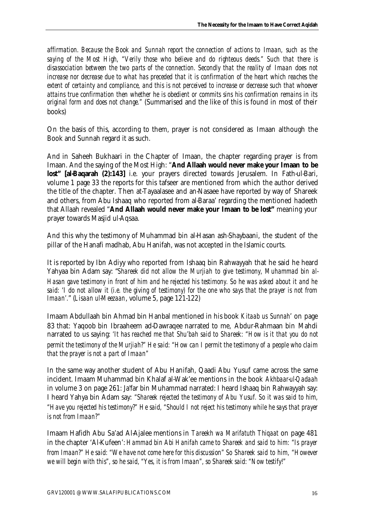*affirmation. Because the Book and Sunnah report the connection of actions to Imaan, such as the saying of the Most High, "Verily those who believe and do righteous deeds." Such that there is disassociation between the two parts of the connection. Secondly that the reality of Imaan does not increase nor decrease due to what has preceded that it is confirmation of the heart which reaches the extent of certainty and compliance, and this is not perceived to increase or decrease such that whoever attains true confirmation then whether he is obedient or commits sins his confirmation remains in its original form and does not change."* (Summarised and the like of this is found in most of their books)

On the basis of this, according to them, prayer is not considered as Imaan although the Book and Sunnah regard it as such.

And in Saheeh Bukhaari in the Chapter of Imaan, the chapter regarding prayer is from Imaan. And the saying of the Most High: "**And Allaah would never make your Imaan to be lost" [al-Baqarah (2):143]** i.e. your prayers directed towards Jerusalem. In Fath-ul-Bari, volume 1 page 33 the reports for this tafseer are mentioned from which the author derived the title of the chapter. Then at-Tayaalasee and an-Nasaee have reported by way of Shareek and others, from Abu Ishaaq who reported from al-Baraa' regarding the mentioned hadeeth that Allaah revealed "**And Allaah would never make your Imaan to be lost"** meaning your prayer towards Masjid ul-Aqsaa.

And this why the testimony of Muhammad bin al-Hasan ash-Shaybaani, the student of the pillar of the Hanafi madhab, Abu Hanifah, was not accepted in the Islamic courts.

It is reported by Ibn Adiyy who reported from Ishaaq bin Rahwayyah that he said he heard Yahyaa bin Adam say: "*Shareek did not allow the Murjiah to give testimony, Muhammad bin al-Hasan gave testimony in front of him and he rejected his testimony. So he was asked about it and he said: 'I do not allow it (i.e. the giving of testimony) for the one who says that the prayer is not from Imaan'.*" (*Lisaan ul-Meezaan*, volume 5, page 121-122)

Imaam Abdullaah bin Ahmad bin Hanbal mentioned in his book *Kitaab us Sunnah*' on page 83 that: Yaqoob bin Ibraaheem ad-Dawraqee narrated to me, Abdur-Rahmaan bin Mahdi narrated to us saying: *'It has reached me that Shu'bah said to Shareek: "How is it that you do not permit the testimony of the Murjiah?" He said: "How can I permit the testimony of a people who claim that the prayer is not a part of Imaan"*

In the same way another student of Abu Hanifah, Qaadi Abu Yusuf came across the same incident. Imaam Muhammad bin Khalaf al-Wak'ee mentions in the book *Akhbaar-ul-Qadaah* in volume 3 on page 261: Ja'far bin Muhammad narrated: I heard Ishaaq bin Rahwayyah say: I heard Yahya bin Adam say: *"Shareek rejected the testimony of Abu Yusuf. So it was said to him, "Have you rejected his testimony?" He said, "Should I not reject his testimony while he says that prayer is not from Imaan?"*

Imaam Hafidh Abu Sa'ad Al-Ajalee mentions in *Tareekh wa Marifatuth Thiqaat* on page 481 in the chapter 'Al-Kufeen': *Hammad bin Abi Hanifah came to Shareek and said to him: "Is prayer from Imaan?" He said: "We have not come here for this discussion" So Shareek said to him, "However we will begin with this", so he said, "Yes, it is from Imaan", so Shareek said: "Now testify!"*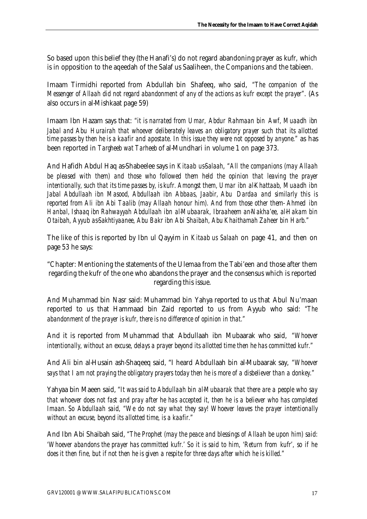So based upon this belief they (the Hanafi's) do not regard abandoning prayer as kufr, which is in opposition to the aqeedah of the Salaf us Saaliheen, the Companions and the tabieen.

Imaam Tirmidhi reported from Abdullah bin Shafeeq, who said, *"The companion of the Messenger of Allaah did not regard abandonment of any of the actions as kufr except the prayer"*. (As also occurs in al-Mishkaat page 59)

Imaam Ibn Hazam says that: *"it is narrated from Umar, Abdur Rahmaan bin Awf, Muaadh ibn Jabal and Abu Hurairah that whoever deliberately leaves an obligatory prayer such that its allotted time passes by then he is a kaafir and apostate. In this issue they were not opposed by anyone."* as has been reported in *Targheeb wat Tarheeb* of al-Mundhari in volume 1 on page 373.

And Hafidh Abdul Haq as-Shabeelee says in *Kitaab us-Salaah*, *"All the companions (may Allaah be pleased with them) and those who followed them held the opinion that leaving the prayer intentionally, such that its time passes by, is kufr. Amongst them, Umar ibn al-Khattaab, Muaadh ibn Jabal Abdullaah ibn Masood, Abdullaah ibn Abbaas, Jaabir, Abu Dardaa and similarly this is reported from Ali ibn Abi Taalib (may Allaah honour him). And from those other them- Ahmed ibn Hanbal, Ishaaq ibn Rahwayyah Abdullaah ibn al-Mubaarak, Ibraaheem an-Nakha'ee, al-Hakam bin Otaibah, Ayyub as-Sakhtiyaanee, Abu Bakr ibn Abi Shaibah, Abu Khaithamah Zaheer bin Harb."*

The like of this is reported by Ibn ul Qayyim in *Kitaab us Salaah* on page 41, and then on page 53 he says:

"Chapter: Mentioning the statements of the Ulemaa from the Tabi'een and those after them regarding the kufr of the one who abandons the prayer and the consensus which is reported regarding this issue.

And Muhammad bin Nasr said: Muhammad bin Yahya reported to us that Abul Nu'maan reported to us that Hammaad bin Zaid reported to us from Ayyub who said: *"The abandonment of the prayer is kufr, there is no difference of opinion in that."*

And it is reported from Muhammad that Abdullaah ibn Mubaarak who said, *"Whoever intentionally, without an excuse, delays a prayer beyond its allotted time then he has committed kufr."*

And Ali bin al-Husain ash-Shaqeeq said, "I heard Abdullaah bin al-Mubaarak say, *"Whoever says that I am not praying the obligatory prayers today then he is more of a disbeliever than a donkey."*

Yahyaa bin Maeen said, *"It was said to Abdullaah bin al-Mubaarak that there are a people who say that whoever does not fast and pray after he has accepted it, then he is a believer who has completed Imaan. So Abdullaah said, "We do not say what they say! Whoever leaves the prayer intentionally without an excuse, beyond its allotted time, is a kaafir."*

And Ibn Abi Shaibah said, *"The Prophet (may the peace and blessings of Allaah be upon him) said: 'Whoever abandons the prayer has committed kufr.' So it is said to him, 'Return from kufr', so if he does it then fine, but if not then he is given a respite for three days after which he is killed."*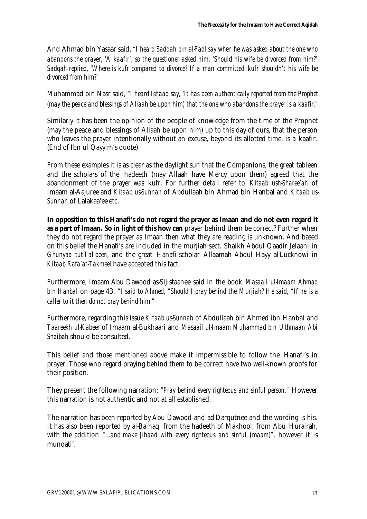And Ahmad bin Yasaar said, *"I heard Sadqah bin al-Fadl say when he was asked about the one who abandons the prayer, 'A kaafir', so the questioner asked him, 'Should his wife be divorced from him?' Sadqah replied, 'Where is kufr compared to divorce? If a man committed kufr shouldn't his wife be divorced from him?'*

Muhammad bin Nasr said, *"I heard Ishaaq say, 'It has been authentically reported from the Prophet (may the peace and blessings of Allaah be upon him) that the one who abandons the prayer is a kaafir.'*

Similarly it has been the opinion of the people of knowledge from the time of the Prophet (may the peace and blessings of Allaah be upon him) up to this day of ours, that the person who leaves the prayer intentionally without an excuse, beyond its allotted time, is a kaafir. (End of Ibn ul Qayyim's quote)

From these examples it is as clear as the daylight sun that the Companions, the great tabieen and the scholars of the hadeeth (may Allaah have Mercy upon them) agreed that the abandonment of the prayer was kufr. For further detail refer to *Kitaab ush-Sharee'ah* of Imaam al-Aajuree and *Kitaab us-Sunnah* of Abdullaah bin Ahmad bin Hanbal and *Kitaab us-Sunnah* of Lalakaa'ee etc.

**In opposition to this Hanafi's do not regard the prayer as Imaan and do not even regard it** as a part of Imaan. So in light of this how can prayer behind them be correct? Further when they do not regard the prayer as Imaan then what they are reading is unknown. And based on this belief the Hanafi's are included in the murjiah sect. Shaikh Abdul Qaadir Jelaani in *Ghunyaa tut-Talibeen*, and the great Hanafi scholar Allaamah Abdul Hayy al-Lucknowi in *Kitaab Rafa'at-Takmeel* have accepted this fact.

Furthermore, Imaam Abu Dawood as-Sijistaanee said in the book *Masaail ul-Imaam Ahmad bin Hanbal* on page 43, *"I said to Ahmed, "Should I pray behind the Murjiah? He said, "If he is a caller to it then do not pray behind him."*

Furthermore, regarding this issue *Kitaab us-Sunnah* of Abdullaah bin Ahmed ibn Hanbal and *Taareekh ul-Kabeer* of Imaam al-Bukhaari and *Masaail ul-Imaam Muhammad bin Uthmaan Abi Shaibah* should be consulted.

This belief and those mentioned above make it impermissible to follow the Hanafi's in prayer. Those who regard praying behind them to be correct have two well-known proofs for their position.

They present the following narration: *"Pray behind every righteous and sinful person."* However this narration is not authentic and not at all established.

The narration has been reported by Abu Dawood and ad-Darqutnee and the wording is his. It has also been reported by al-Baihaqi from the hadeeth of Makhool, from Abu Hurairah, with the addition <sup>"</sup>...and make Jihaad with every righteous and sinful (maam)", however it is munqati'.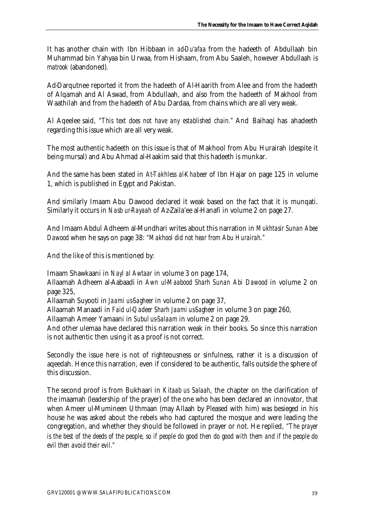It has another chain with Ibn Hibbaan in *ad-Du'afaa* from the hadeeth of Abdullaah bin Muhammad bin Yahyaa bin Urwaa, from Hishaam, from Abu Saaleh, however Abdullaah is *matrook* (abandoned).

Ad-Darqutnee reported it from the hadeeth of Al-Haarith from Alee and from the hadeeth of Alqamah and Al Aswad, from Abdullaah, and also from the hadeeth of Makhool from Waathilah and from the hadeeth of Abu Dardaa, from chains which are all very weak.

Al Aqeelee said, *"This text does not have any established chain."* And Baihaqi has ahadeeth regarding this issue which are all very weak.

The most authentic hadeeth on this issue is that of Makhool from Abu Hurairah (despite it being mursal) and Abu Ahmad al-Haakim said that this hadeeth is munkar.

And the same has been stated in *At-Takhless al-Khabeer* of Ibn Hajar on page 125 in volume 1, which is published in Egypt and Pakistan.

And similarly Imaam Abu Dawood declared it weak based on the fact that it is munqati. Similarly it occurs in *Nasb ur-Rayaah* of Az-Zaila'ee al-Hanafi in volume 2 on page 27.

And Imaam Abdul Adheem al-Mundhari writes about this narration in *Mukhtasir Sunan Abee Dawood* when he says on page 38: *"Makhool did not hear from Abu Hurairah."*

And the like of this is mentioned by:

Imaam Shawkaani in *Nayl al Awtaar* in volume 3 on page 174,

Allaamah Adheem al-Aabaadi in *Awn ul-Maabood Sharh Sunan Abi Dawood* in volume 2 on page 325,

Allaamah Suyooti in *Jaami us-Sagheer* in volume 2 on page 37,

Allaamah Manaadi in *Faid ul-Qadeer Sharh Jaami us-Sagheer* in volume 3 on page 260,

Allaamah Ameer Yamaani in *Subul us-Salaam* in volume 2 on page 29.

And other ulemaa have declared this narration weak in their books. So since this narration is not authentic then using it as a proof is not correct.

Secondly the issue here is not of righteousness or sinfulness, rather it is a discussion of aqeedah. Hence this narration, even if considered to be authentic, falls outside the sphere of this discussion.

The second proof is from Bukhaari in *Kitaab us Salaah*, the chapter on the clarification of the imaamah (leadership of the prayer) of the one who has been declared an innovator, that when Ameer ul-Mumineen Uthmaan (may Allaah by Pleased with him) was besieged in his house he was asked about the rebels who had captured the mosque and were leading the congregation, and whether they should be followed in prayer or not. He replied, *"The prayer is the best of the deeds of the people, so if people do good then do good with them and if the people do evil then avoid their evil."*